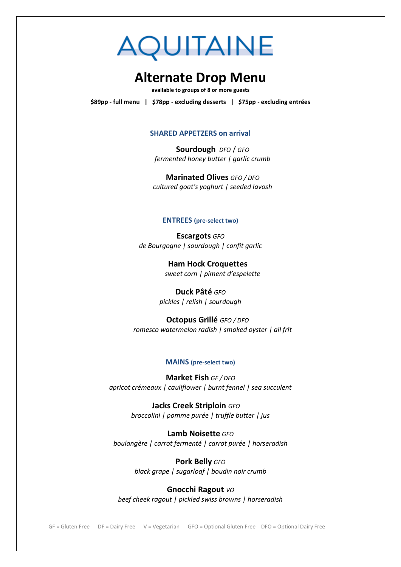# **AQUITAINE**

# **Alternate Drop Menu**

**available to groups of 8 or more guests**

**\$89pp - full menu | \$78pp - excluding desserts | \$75pp - excluding entrées**

#### **SHARED APPETZERS on arrival**

**Sourdough** *DFO* / *GFO fermented honey butter | garlic crumb*

**Marinated Olives** *GFO / DFO cultured goat's yoghurt | seeded lavosh*

#### **ENTREES (pre-select two)**

**Escargots** *GFO de Bourgogne | sourdough | confit garlic*

> **Ham Hock Croquettes** *sweet corn | piment d'espelette*

**Duck Pâté** *GFO pickles | relish | sourdough*

 **Octopus Grillé** *GFO / DFO romesco watermelon radish | smoked oyster | ail frit*

#### **MAINS (pre-select two)**

**Market Fish** *GF / DFO apricot crémeaux | cauliflower | burnt fennel | sea succulent*

> **Jacks Creek Striploin** *GFO broccolini | pomme purée | truffle butter | jus*

**Lamb Noisette** *GFO boulangère | carrot fermenté | carrot purée | horseradish*

> **Pork Belly** *GFO black grape | sugarloaf | boudin noir crumb*

**Gnocchi Ragout** *VO beef cheek ragout | pickled swiss browns | horseradish*

GF = Gluten Free DF = Dairy Free V = Vegetarian GFO = Optional Gluten Free DFO = Optional Dairy Free